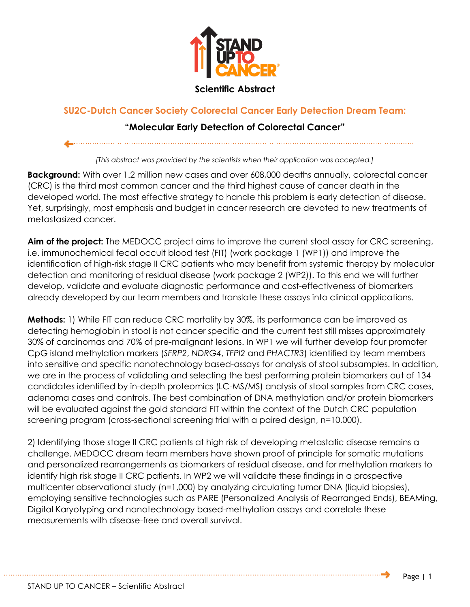

## **Scientific Abstract**

## **SU2C-Dutch Cancer Society Colorectal Cancer Early Detection Dream Team:**

## **"Molecular Early Detection of Colorectal Cancer"**

*[This abstract was provided by the scientists when their application was accepted.]*

**Background:** With over 1.2 million new cases and over 608,000 deaths annually, colorectal cancer (CRC) is the third most common cancer and the third highest cause of cancer death in the developed world. The most effective strategy to handle this problem is early detection of disease. Yet, surprisingly, most emphasis and budget in cancer research are devoted to new treatments of metastasized cancer.

**Aim of the project:** The MEDOCC project aims to improve the current stool assay for CRC screening, i.e. immunochemical fecal occult blood test (FIT) (work package 1 (WP1)) and improve the identification of high-risk stage II CRC patients who may benefit from systemic therapy by molecular detection and monitoring of residual disease (work package 2 (WP2)). To this end we will further develop, validate and evaluate diagnostic performance and cost-effectiveness of biomarkers already developed by our team members and translate these assays into clinical applications.

**Methods:** 1) While FIT can reduce CRC mortality by 30%, its performance can be improved as detecting hemoglobin in stool is not cancer specific and the current test still misses approximately 30% of carcinomas and 70% of pre-malignant lesions. In WP1 we will further develop four promoter CpG island methylation markers (*SFRP2*, *NDRG4*, *TFPI2* and *PHACTR3*) identified by team members into sensitive and specific nanotechnology based-assays for analysis of stool subsamples. In addition, we are in the process of validating and selecting the best performing protein biomarkers out of 134 candidates identified by in-depth proteomics (LC-MS/MS) analysis of stool samples from CRC cases, adenoma cases and controls. The best combination of DNA methylation and/or protein biomarkers will be evaluated against the gold standard FIT within the context of the Dutch CRC population screening program (cross-sectional screening trial with a paired design, n=10,000).

2) Identifying those stage II CRC patients at high risk of developing metastatic disease remains a challenge. MEDOCC dream team members have shown proof of principle for somatic mutations and personalized rearrangements as biomarkers of residual disease, and for methylation markers to identify high risk stage II CRC patients. In WP2 we will validate these findings in a prospective multicenter observational study (n=1,000) by analyzing circulating tumor DNA (liquid biopsies), employing sensitive technologies such as PARE (Personalized Analysis of Rearranged Ends), BEAMing, Digital Karyotyping and nanotechnology based-methylation assays and correlate these measurements with disease-free and overall survival.